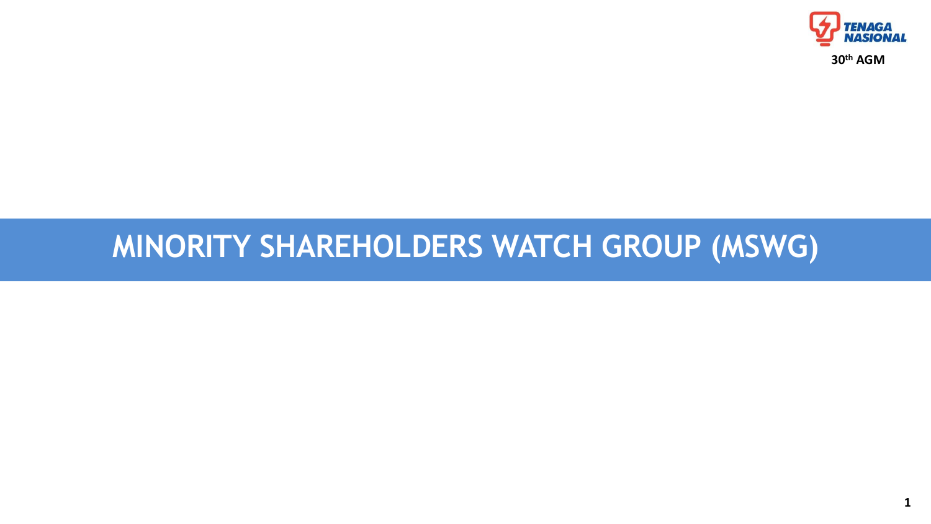# **MINORITY SHAREHOLDERS WATCH GROUP (MSWG)**

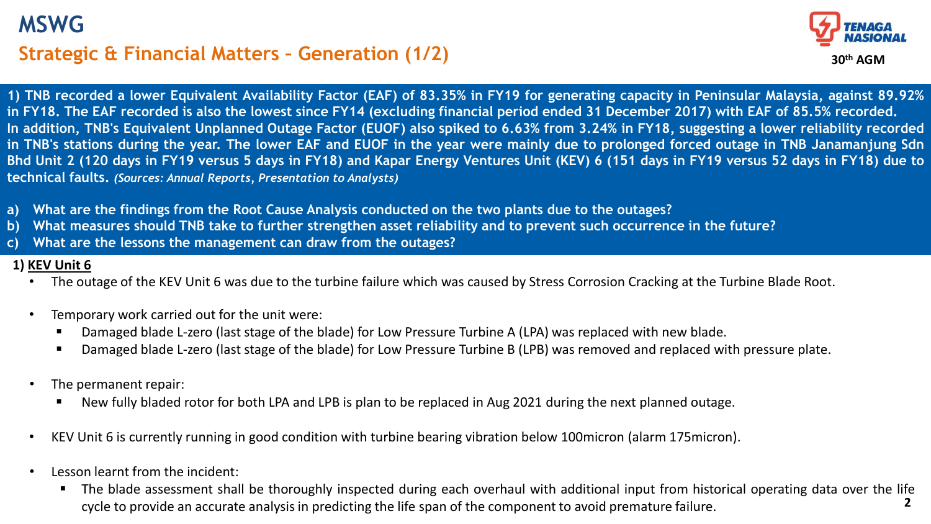# **Strategic & Financial Matters – Generation (1/2) MSWG**



1) TNB recorded a lower Equivalent Availability Factor (EAF) of 83.35% in FY19 for generating capacity in Peninsular Malaysia, against 89.92% in FY18. The EAF recorded is also the lowest since FY14 (excluding financial period ended 31 December 2017) with EAF of 85.5% recorded. In addition, TNB's Equivalent Unplanned Outage Factor (EUOF) also spiked to 6.63% from 3.24% in FY18, suggesting a lower reliability recorded in TNB's stations during the year. The lower EAF and EUOF in the year were mainly due to prolonged forced outage in TNB Janamanjung Sdn Bhd Unit 2 (120 days in FY19 versus 5 days in FY18) and Kapar Energy Ventures Unit (KEV) 6 (151 days in FY19 versus 52 days in FY18) due to **technical faults.** *(Sources: Annual Reports, Presentation to Analysts)*

- **a) What are the findings from the Root Cause Analysis conducted on the two plants due to the outages?**
- **b) What measures should TNB take to further strengthen asset reliability and to prevent such occurrence in the future?**
- **c) What are the lessons the management can draw from the outages?**

#### **1) KEV Unit 6**

- The outage of the KEV Unit 6 was due to the turbine failure which was caused by Stress Corrosion Cracking at the Turbine Blade Root.
- Temporary work carried out for the unit were:
	- Damaged blade L-zero (last stage of the blade) for Low Pressure Turbine A (LPA) was replaced with new blade.
	- Damaged blade L-zero (last stage of the blade) for Low Pressure Turbine B (LPB) was removed and replaced with pressure plate.
- The permanent repair:
	- New fully bladed rotor for both LPA and LPB is plan to be replaced in Aug 2021 during the next planned outage.
- KEV Unit 6 is currently running in good condition with turbine bearing vibration below 100micron (alarm 175micron).
- Lesson learnt from the incident:
	- **2** The blade assessment shall be thoroughly inspected during each overhaul with additional input from historical operating data over the life cycle to provide an accurate analysisin predicting the life span of the component to avoid premature failure.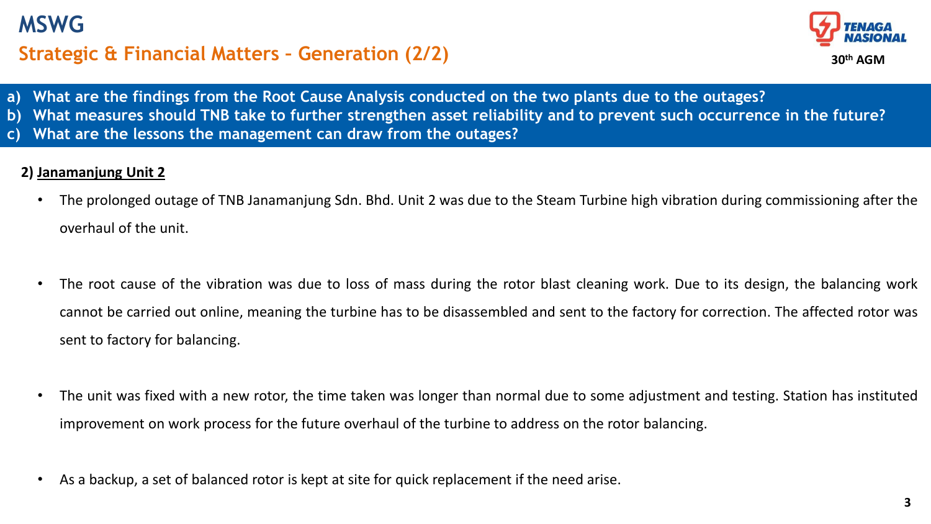# **Strategic & Financial Matters – Generation (2/2) MSWG**



- **a) What are the findings from the Root Cause Analysis conducted on the two plants due to the outages?**
- **b) What measures should TNB take to further strengthen asset reliability and to prevent such occurrence in the future?**
- **c) What are the lessons the management can draw from the outages?**

## **2) Janamanjung Unit 2**

- The prolonged outage of TNB Janamanjung Sdn. Bhd. Unit 2 was due to the Steam Turbine high vibration during commissioning after the overhaul of the unit.
- The root cause of the vibration was due to loss of mass during the rotor blast cleaning work. Due to its design, the balancing work cannot be carried out online, meaning the turbine has to be disassembled and sent to the factory for correction. The affected rotor was sent to factory for balancing.
- The unit was fixed with a new rotor, the time taken was longer than normal due to some adjustment and testing. Station has instituted improvement on work process for the future overhaul of the turbine to address on the rotor balancing.
- As a backup, a set of balanced rotor is kept at site for quick replacement if the need arise.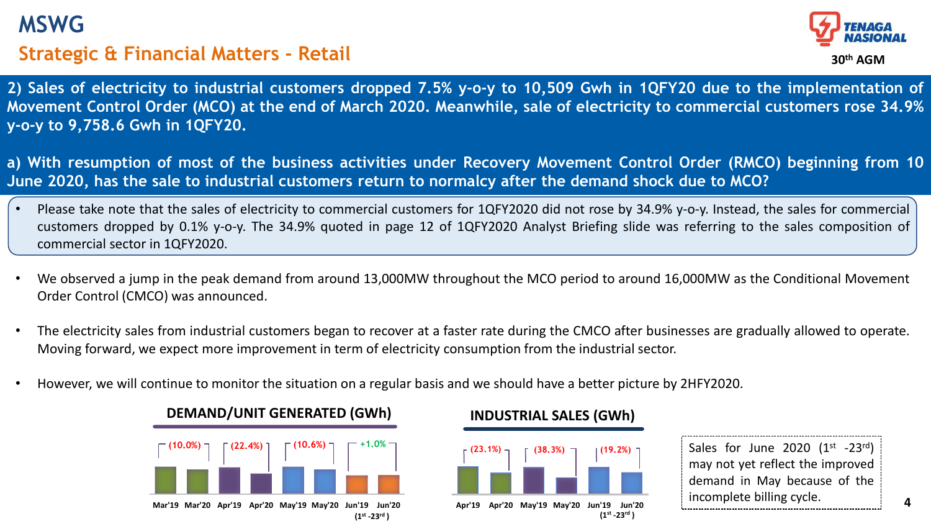## **MSWG**

## **Strategic & Financial Matters - Retail**



2) Sales of electricity to industrial customers dropped 7.5% y-o-y to 10,509 Gwh in 1QFY20 due to the implementation of Movement Control Order (MCO) at the end of March 2020. Meanwhile, sale of electricity to commercial customers rose 34.9% **y-o-y to 9,758.6 Gwh in 1QFY20.**

a) With resumption of most of the business activities under Recovery Movement Control Order (RMCO) beginning from 10 June 2020, has the sale to industrial customers return to normalcy after the demand shock due to MCO?

- Please take note that the sales of electricity to commercial customers for 1QFY2020 did not rose by 34.9% y-o-y. Instead, the sales for commercial customers dropped by 0.1% y-o-y. The 34.9% quoted in page 12 of 1QFY2020 Analyst Briefing slide was referring to the sales composition of commercial sector in 1QFY2020.
- We observed a jump in the peak demand from around 13,000MW throughout the MCO period to around 16,000MW as the Conditional Movement Order Control (CMCO) was announced.
- The electricity sales from industrial customers began to recover at a faster rate during the CMCO after businesses are gradually allowed to operate. Moving forward, we expect more improvement in term of electricity consumption from the industrial sector.
- However, we will continue to monitor the situation on a regular basis and we should have a better picture by 2HFY2020.



#### **DEMAND/UNIT GENERATED (GWh) INDUSTRIAL SALES (GWh)**



Sales for June 2020  $(1^{st}$  -23rd) may not yet reflect the improved demand in May because of the incomplete billing cycle.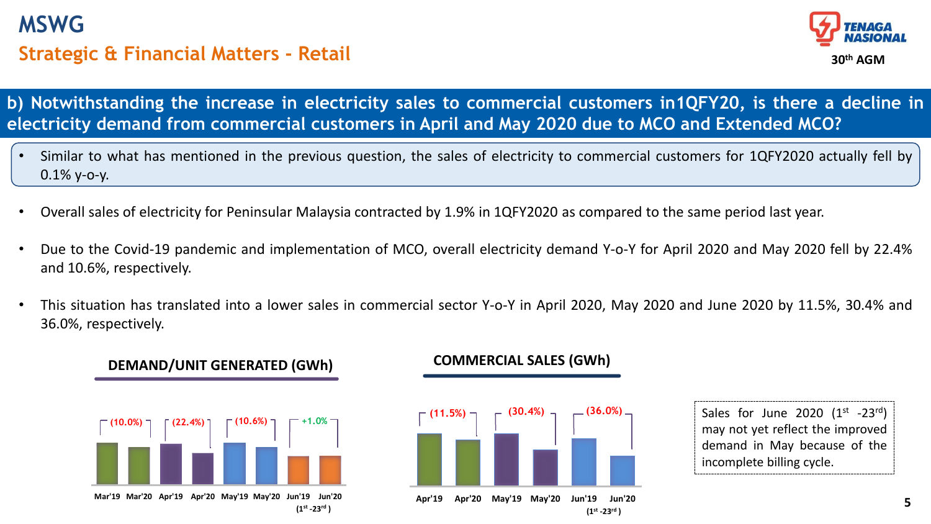# **Strategic & Financial Matters - Retail MSWG**



**b) Notwithstanding the increase in electricity sales to commercial customers in1QFY20, is there a decline in electricity demand from commercial customers in April and May 2020 due to MCO and Extended MCO?**

- Similar to what has mentioned in the previous question, the sales of electricity to commercial customers for 1QFY2020 actually fell by 0.1% y-o-y.
- Overall sales of electricity for Peninsular Malaysia contracted by 1.9% in 1QFY2020 as compared to the same period last year.
- Due to the Covid-19 pandemic and implementation of MCO, overall electricity demand Y-o-Y for April 2020 and May 2020 fell by 22.4% and 10.6%, respectively.
- This situation has translated into a lower sales in commercial sector Y-o-Y in April 2020, May 2020 and June 2020 by 11.5%, 30.4% and 36.0%, respectively.

# **Mar'19 Mar'20 Apr'19 Apr'20 May'19 May'20 Jun'19 Jun'20 (10.0%) (22.4%) (10.6%) +1.0% (1st -23rd )**

**DEMAND/UNIT GENERATED (GWh)**

### **COMMERCIAL SALES (GWh)**



**Apr'19 Apr'20 May'19 May'20 Jun'19 Jun'20 (1st -23rd )**

Sales for June 2020  $(1^{st}$  -23rd) may not yet reflect the improved demand in May because of the incomplete billing cycle.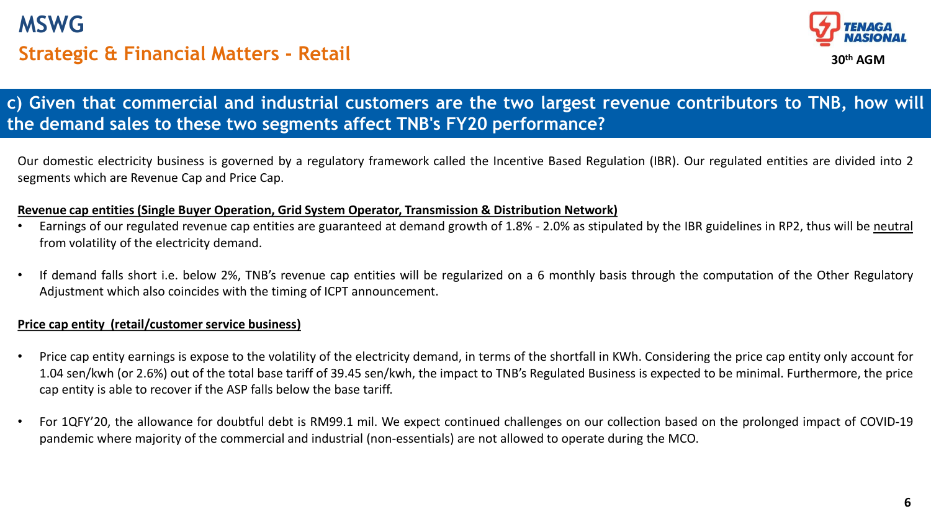# **Strategic & Financial Matters - Retail MSWG**



## c) Given that commercial and industrial customers are the two largest revenue contributors to TNB, how will **the demand sales to these two segments affect TNB's FY20 performance?**

Our domestic electricity business is governed by a regulatory framework called the Incentive Based Regulation (IBR). Our regulated entities are divided into 2 segments which are Revenue Cap and Price Cap.

#### **Revenue cap entities (Single Buyer Operation, Grid System Operator, Transmission & Distribution Network)**

- Earnings of our regulated revenue cap entities are guaranteed at demand growth of 1.8% 2.0% as stipulated by the IBR guidelines in RP2, thus will be neutral from volatility of the electricity demand.
- If demand falls short i.e. below 2%, TNB's revenue cap entities will be regularized on a 6 monthly basis through the computation of the Other Regulatory Adjustment which also coincides with the timing of ICPT announcement.

#### **Price cap entity (retail/customer service business)**

- Price cap entity earnings is expose to the volatility of the electricity demand, in terms of the shortfall in KWh. Considering the price cap entity only account for 1.04 sen/kwh (or 2.6%) out of the total base tariff of 39.45 sen/kwh, the impact to TNB's Regulated Business is expected to be minimal. Furthermore, the price cap entity is able to recover if the ASP falls below the base tariff.
- For 1QFY'20, the allowance for doubtful debt is RM99.1 mil. We expect continued challenges on our collection based on the prolonged impact of COVID-19 pandemic where majority of the commercial and industrial (non-essentials) are not allowed to operate during the MCO.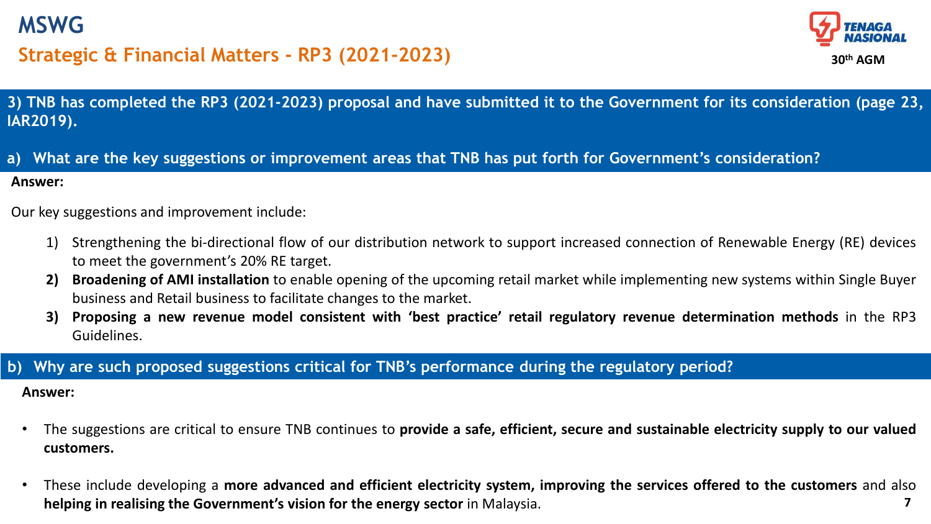

## **Strategic & Financial Matters - RP3 (2021-2023)**



3) TNB has completed the RP3 (2021-2023) proposal and have submitted it to the Government for its consideration (page 23, **IAR2019).**

**Answer:** a) What are the key suggestions or improvement areas that TNB has put forth for Government's consideration?

Our key suggestions and improvement include:

- 1) Strengthening the bi-directional flow of our distribution network to support increased connection of Renewable Energy (RE) devices to meet the government's 20% RE target.
- **2) Broadening of AMI installation** to enable opening of the upcoming retail market while implementing new systems within Single Buyer business and Retail business to facilitate changes to the market.
- 3) Proposing a new revenue model consistent with 'best practice' retail regulatory revenue determination methods in the RP3 Guidelines.

### **b) Why are such proposed suggestions critical for TNB's performance during the regulatory period?**

**Answer:**

- The suggestions are critical to ensure TNB continues to **provide a safe, efficient, secure and sustainable electricity supply to our valued customers.**
- **7** • These include developing a **more advanced and efficient electricity system, improving the services offered to the customers** and also **helping in realising the Government's vision for the energy sector** in Malaysia.